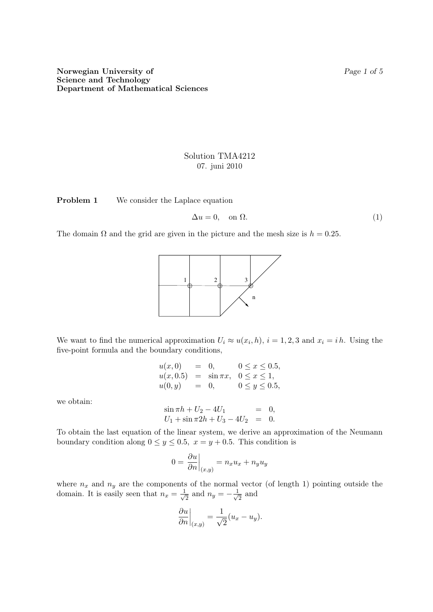## Solution TMA4212 07. juni 2010

Problem 1 We consider the Laplace equation

$$
\Delta u = 0, \quad \text{on } \Omega. \tag{1}
$$

The domain  $\Omega$  and the grid are given in the picture and the mesh size is  $h = 0.25$ .



We want to find the numerical approximation  $U_i \approx u(x_i, h)$ ,  $i = 1, 2, 3$  and  $x_i = i h$ . Using the five-point formula and the boundary conditions,

$$
u(x, 0) = 0, \t 0 \le x \le 0.5,u(x, 0.5) = \sin \pi x, \t 0 \le x \le 1,u(0, y) = 0, \t 0 \le y \le 0.5,
$$

we obtain:

$$
\sin \pi h + U_2 - 4U_1 = 0,
$$
  
\n
$$
U_1 + \sin \pi 2h + U_3 - 4U_2 = 0.
$$

To obtain the last equation of the linear system, we derive an approximation of the Neumann boundary condition along  $0 \le y \le 0.5$ ,  $x = y + 0.5$ . This condition is

$$
0 = \frac{\partial u}{\partial n}\Big|_{(x,y)} = n_x u_x + n_y u_y
$$

where  $n_x$  and  $n_y$  are the components of the normal vector (of length 1) pointing outside the domain. It is easily seen that  $n_x = \frac{1}{\sqrt{2}}$  $\frac{1}{2}$  and  $n_y = -\frac{1}{\sqrt{2}}$  $\overline{2}$  and

$$
\left. \frac{\partial u}{\partial n} \right|_{(x,y)} = \frac{1}{\sqrt{2}} (u_x - u_y).
$$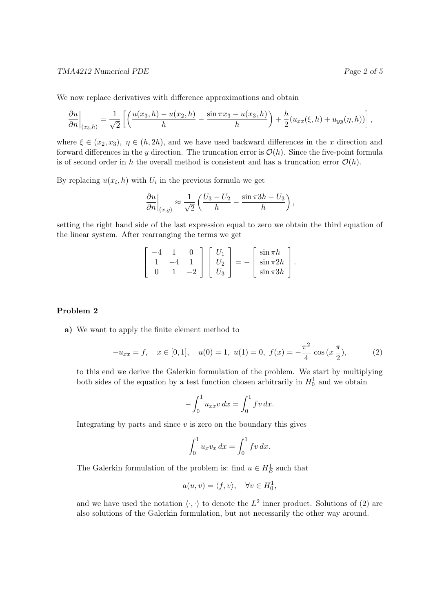We now replace derivatives with difference approximations and obtain

$$
\frac{\partial u}{\partial n}\bigg|_{(x_3,h)} = \frac{1}{\sqrt{2}}\left[\left(\frac{u(x_3,h)-u(x_2,h)}{h}-\frac{\sin\pi x_3-u(x_3,h)}{h}\right)+\frac{h}{2}(u_{xx}(\xi,h)+u_{yy}(\eta,h))\right],
$$

where  $\xi \in (x_2, x_3)$ ,  $\eta \in (h, 2h)$ , and we have used backward differences in the x direction and forward differences in the y direction. The truncation error is  $\mathcal{O}(h)$ . Since the five-point formula is of second order in h the overall method is consistent and has a truncation error  $\mathcal{O}(h)$ .

By replacing  $u(x_i, h)$  with  $U_i$  in the previous formula we get

$$
\left. \frac{\partial u}{\partial n} \right|_{(x,y)} \approx \frac{1}{\sqrt{2}} \left( \frac{U_3 - U_2}{h} - \frac{\sin \pi 3h - U_3}{h} \right),\,
$$

setting the right hand side of the last expression equal to zero we obtain the third equation of the linear system. After rearranging the terms we get

$$
\begin{bmatrix} -4 & 1 & 0 \\ 1 & -4 & 1 \\ 0 & 1 & -2 \end{bmatrix} \begin{bmatrix} U_1 \\ U_2 \\ U_3 \end{bmatrix} = - \begin{bmatrix} \sin \pi h \\ \sin \pi 2h \\ \sin \pi 3h \end{bmatrix}.
$$

## Problem 2

a) We want to apply the finite element method to

$$
-u_{xx} = f, \quad x \in [0,1], \quad u(0) = 1, \ u(1) = 0, \ f(x) = -\frac{\pi^2}{4} \cos\left(x \frac{\pi}{2}\right), \tag{2}
$$

to this end we derive the Galerkin formulation of the problem. We start by multiplying both sides of the equation by a test function chosen arbitrarily in  $H_0^1$  and we obtain

$$
- \int_0^1 u_{xx} v \, dx = \int_0^1 f v \, dx.
$$

Integrating by parts and since  $v$  is zero on the boundary this gives

$$
\int_0^1 u_x v_x dx = \int_0^1 f v dx.
$$

The Galerkin formulation of the problem is: find  $u \in H_E^1$  such that

$$
a(u, v) = \langle f, v \rangle, \quad \forall v \in H_0^1,
$$

and we have used the notation  $\langle \cdot, \cdot \rangle$  to denote the  $L^2$  inner product. Solutions of (2) are also solutions of the Galerkin formulation, but not necessarily the other way around.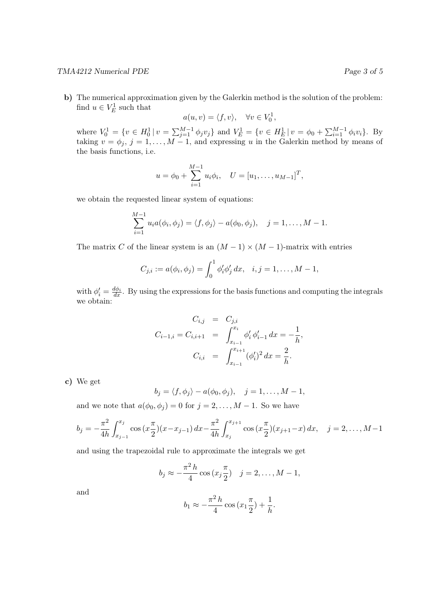## TMA4212 Numerical PDE **Page 3** of 5

b) The numerical approximation given by the Galerkin method is the solution of the problem: find  $u \in V_E^1$  such that

$$
a(u, v) = \langle f, v \rangle, \quad \forall v \in V_0^1,
$$

where  $V_0^1 = \{v \in H_0^1 | v = \sum_{j=1}^{M-1} \phi_j v_j\}$  and  $V_E^1 = \{v \in H_E^1 | v = \phi_0 + \sum_{i=1}^{M-1} \phi_i v_i\}$ . By taking  $v = \phi_j$ ,  $j = 1, ..., M - 1$ , and expressing u in the Galerkin method by means of the basis functions, i.e.

$$
u = \phi_0 + \sum_{i=1}^{M-1} u_i \phi_i
$$
,  $U = [u_1, \dots, u_{M-1}]^T$ ,

we obtain the requested linear system of equations:

$$
\sum_{i=1}^{M-1} u_i a(\phi_i, \phi_j) = \langle f, \phi_j \rangle - a(\phi_0, \phi_j), \quad j = 1, \dots, M-1.
$$

The matrix C of the linear system is an  $(M-1) \times (M-1)$ -matrix with entries

$$
C_{j,i} := a(\phi_i, \phi_j) = \int_0^1 \phi'_i \phi'_j dx, \quad i, j = 1, \dots, M-1,
$$

with  $\phi_i' = \frac{d\phi_i}{dx}$ . By using the expressions for the basis functions and computing the integrals we obtain:

$$
C_{i,j} = C_{j,i}
$$
  
\n
$$
C_{i-1,i} = C_{i,i+1} = \int_{x_{i-1}}^{x_i} \phi'_i \phi'_{i-1} dx = -\frac{1}{h},
$$
  
\n
$$
C_{i,i} = \int_{x_{i-1}}^{x_{i+1}} (\phi'_i)^2 dx = \frac{2}{h}.
$$

c) We get

$$
b_j = \langle f, \phi_j \rangle - a(\phi_0, \phi_j), \quad j = 1, \dots, M-1,
$$

and we note that  $a(\phi_0, \phi_j) = 0$  for  $j = 2, ..., M - 1$ . So we have

$$
b_j = -\frac{\pi^2}{4h} \int_{x_{j-1}}^{x_j} \cos\left(x \frac{\pi}{2}\right)(x - x_{j-1}) \, dx - \frac{\pi^2}{4h} \int_{x_j}^{x_{j+1}} \cos\left(x \frac{\pi}{2}\right)(x_{j+1} - x) \, dx, \quad j = 2, \dots, M-1
$$

and using the trapezoidal rule to approximate the integrals we get

$$
b_j \approx -\frac{\pi^2 h}{4} \cos (x_j \frac{\pi}{2}) \quad j = 2, ..., M - 1,
$$

and

$$
b_1 \approx -\frac{\pi^2 h}{4} \cos (x_1 \frac{\pi}{2}) + \frac{1}{h}.
$$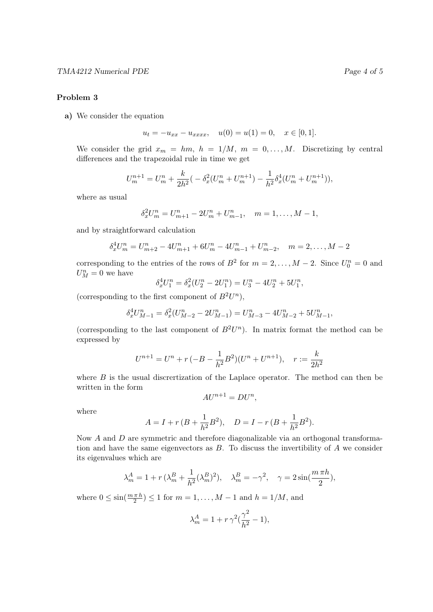## Problem 3

a) We consider the equation

$$
u_t = -u_{xx} - u_{xxxx}, \quad u(0) = u(1) = 0, \quad x \in [0, 1].
$$

We consider the grid  $x_m = hm, h = 1/M, m = 0, ..., M$ . Discretizing by central differences and the trapezoidal rule in time we get

$$
U_m^{n+1} = U_m^n + \frac{k}{2h^2} \left( -\delta_x^2 (U_m^n + U_m^{n+1}) - \frac{1}{h^2} \delta_x^4 (U_m^n + U_m^{n+1}) \right),
$$

where as usual

$$
\delta_x^2 U_m^n = U_{m+1}^n - 2U_m^n + U_{m-1}^n, \quad m = 1, \dots, M-1,
$$

and by straightforward calculation

$$
\delta_x^4 U_m^n = U_{m+2}^n - 4U_{m+1}^n + 6U_m^n - 4U_{m-1}^n + U_{m-2}^n, \quad m = 2, \dots, M-2
$$

corresponding to the entries of the rows of  $B^2$  for  $m = 2, ..., M - 2$ . Since  $U_0^n = 0$  and  $U_M^n=0$  we have

$$
\delta_x^4 U_1^n = \delta_x^2 (U_2^n - 2U_1^n) = U_3^n - 4U_2^n + 5U_1^n,
$$

(corresponding to the first component of  $B^2U^n$ ),

$$
\delta_x^4 U_{M-1}^n = \delta_x^2 (U_{M-2}^n - 2U_{M-1}^n) = U_{M-3}^n - 4U_{M-2}^n + 5U_{M-1}^n,
$$

(corresponding to the last component of  $B^2U^n$ ). In matrix format the method can be expressed by

$$
U^{n+1} = U^n + r(-B - \frac{1}{h^2}B^2)(U^n + U^{n+1}), \quad r := \frac{k}{2h^2}
$$

where  $B$  is the usual discretization of the Laplace operator. The method can then be written in the form

$$
AU^{n+1} = DU^n,
$$

where

$$
A = I + r (B + \frac{1}{h^2} B^2), \quad D = I - r (B + \frac{1}{h^2} B^2).
$$

Now A and D are symmetric and therefore diagonalizable via an orthogonal transformation and have the same eigenvectors as  $B$ . To discuss the invertibility of  $A$  we consider its eigenvalues which are

$$
\lambda_m^A = 1 + r \left( \lambda_m^B + \frac{1}{h^2} (\lambda_m^B)^2 \right), \quad \lambda_m^B = -\gamma^2, \quad \gamma = 2 \sin\left(\frac{m \pi h}{2}\right),
$$

where  $0 \le \sin(\frac{m \pi h}{2}) \le 1$  for  $m = 1, ..., M - 1$  and  $h = 1/M$ , and

$$
\lambda_m^A=1+r\,\gamma^2(\frac{\gamma^2}{h^2}-1),
$$